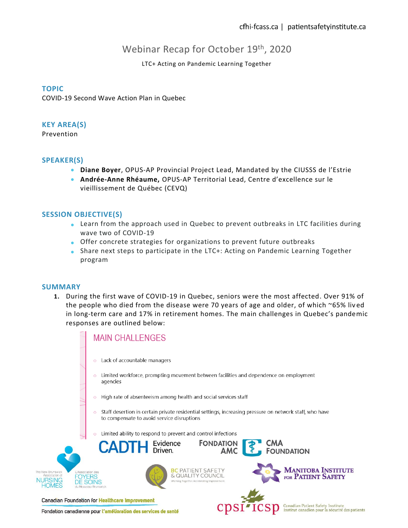Institut canadien pour la sécurité des patients

# Webinar Recap for October 19<sup>th</sup>, 2020

# LTC+ Acting on Pandemic Learning Together

### **TOPIC**

COVID-19 Second Wave Action Plan in Quebec

#### **KEY AREA(S)**

Prevention

# **SPEAKER(S)**

- **Diane Boyer**, OPUS-AP Provincial Project Lead, Mandated by the CIUSSS de l'Estrie
- **Andrée-Anne Rhéaume,** OPUS-AP Territorial Lead, Centre d'excellence sur le vieillissement de Québec (CEVQ)

# **SESSION OBJECTIVE(S)**

- Learn from the approach used in Quebec to prevent outbreaks in LTC facilities during wave two of COVID-19
- Offer concrete strategies for organizations to prevent future outbreaks
- Share next steps to participate in the LTC+: Acting on Pandemic Learning Together program

#### **SUMMARY**

**1.** During the first wave of COVID-19 in Quebec, seniors were the most affected. Over 91% of the people who died from the disease were 70 years of age and older, of which ~65% liv ed in long-term care and 17% in retirement homes. The main challenges in Quebec's pandemic responses are outlined below:



Fondation canadienne pour l'amélioration des services de santé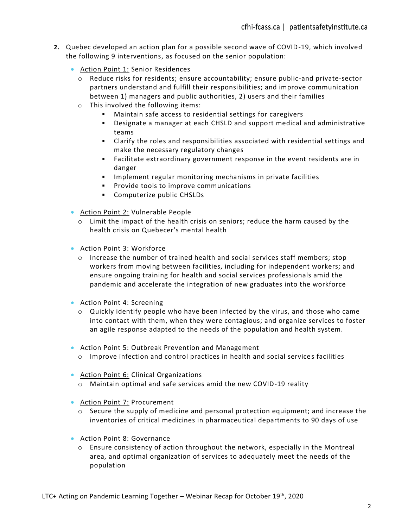- **2.** Quebec developed an action plan for a possible second wave of COVID-19, which involved the following 9 interventions, as focused on the senior population:
	- Action Point 1: Senior Residences
		- o Reduce risks for residents; ensure accountability; ensure public-and private-sector partners understand and fulfill their responsibilities; and improve communication between 1) managers and public authorities, 2) users and their families
		- o This involved the following items:
			- Maintain safe access to residential settings for caregivers
			- Designate a manager at each CHSLD and support medical and administrative teams
			- Clarify the roles and responsibilities associated with residential settings and make the necessary regulatory changes
			- Facilitate extraordinary government response in the event residents are in danger
			- Implement regular monitoring mechanisms in private facilities
			- **•** Provide tools to improve communications
			- Computerize public CHSLDs
	- Action Point 2: Vulnerable People
		- $\circ$  Limit the impact of the health crisis on seniors; reduce the harm caused by the health crisis on Quebecer's mental health
	- Action Point 3: Workforce
		- $\circ$  Increase the number of trained health and social services staff members; stop workers from moving between facilities, including for independent workers; and ensure ongoing training for health and social services professionals amid the pandemic and accelerate the integration of new graduates into the workforce
	- Action Point 4: Screening
		- o Quickly identify people who have been infected by the virus, and those who came into contact with them, when they were contagious; and organize services to foster an agile response adapted to the needs of the population and health system.
	- Action Point 5: Outbreak Prevention and Management
		- $\circ$  Improve infection and control practices in health and social services facilities
	- Action Point 6: Clinical Organizations
		- o Maintain optimal and safe services amid the new COVID-19 reality
	- Action Point 7: Procurement
		- $\circ$  Secure the supply of medicine and personal protection equipment; and increase the inventories of critical medicines in pharmaceutical departments to 90 days of use
	- Action Point 8: Governance
		- $\circ$  Ensure consistency of action throughout the network, especially in the Montreal area, and optimal organization of services to adequately meet the needs of the population